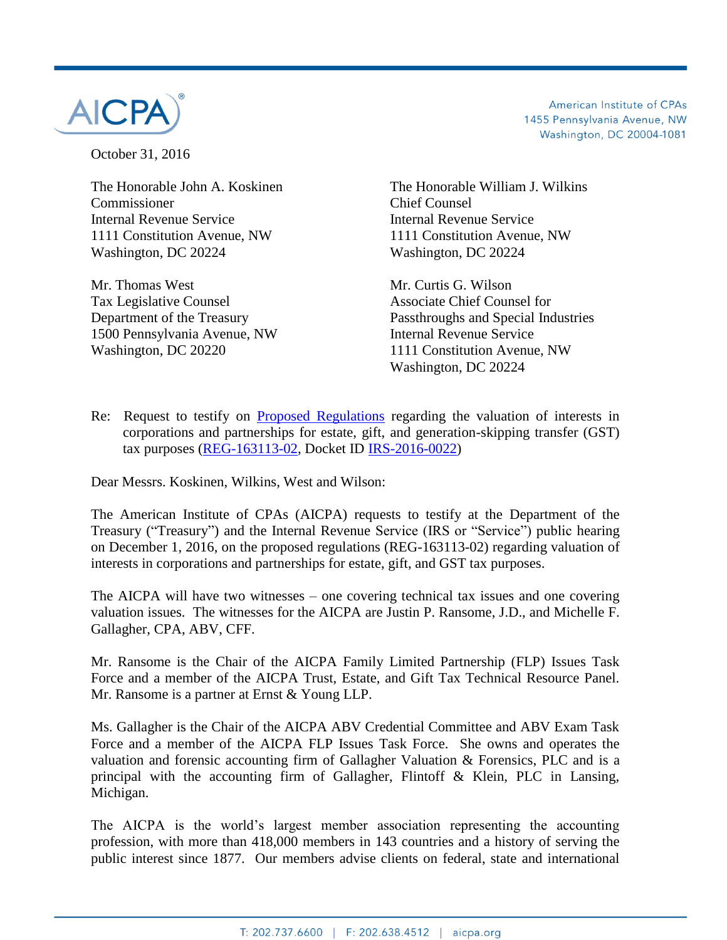

October 31, 2016

Commissioner Chief Counsel Internal Revenue Service Internal Revenue Service 1111 Constitution Avenue, NW 1111 Constitution Avenue, NW Washington, DC 20224 Washington, DC 20224

Mr. Thomas West **Mr.** Curtis G. Wilson Tax Legislative Counsel **Associate Chief Counsel for** Associate Chief Counsel for 1500 Pennsylvania Avenue, NW Internal Revenue Service Washington, DC 20220 1111 Constitution Avenue, NW

American Institute of CPAs 1455 Pennsylvania Avenue, NW Washington, DC 20004-1081

The Honorable John A. Koskinen The Honorable William J. Wilkins

Department of the Treasury Passthroughs and Special Industries Washington, DC 20224

Re: Request to testify on [Proposed Regulations](https://www.federalregister.gov/documents/2016/08/04/2016-18370/estate-gift-and-generation-skipping-transfer-taxes-restrictions-on-liquidation-of-an-interest) regarding the valuation of interests in corporations and partnerships for estate, gift, and generation-skipping transfer (GST) tax purposes [\(REG-163113-02,](https://www.federalregister.gov/documents/2016/08/04/2016-18370/estate-gift-and-generation-skipping-transfer-taxes-restrictions-on-liquidation-of-an-interest) Docket ID **IRS-2016-0022)** 

Dear Messrs. Koskinen, Wilkins, West and Wilson:

The American Institute of CPAs (AICPA) requests to testify at the Department of the Treasury ("Treasury") and the Internal Revenue Service (IRS or "Service") public hearing on December 1, 2016, on the proposed regulations (REG-163113-02) regarding valuation of interests in corporations and partnerships for estate, gift, and GST tax purposes.

The AICPA will have two witnesses – one covering technical tax issues and one covering valuation issues. The witnesses for the AICPA are Justin P. Ransome, J.D., and Michelle F. Gallagher, CPA, ABV, CFF.

Mr. Ransome is the Chair of the AICPA Family Limited Partnership (FLP) Issues Task Force and a member of the AICPA Trust, Estate, and Gift Tax Technical Resource Panel. Mr. Ransome is a partner at Ernst & Young LLP.

Ms. Gallagher is the Chair of the AICPA ABV Credential Committee and ABV Exam Task Force and a member of the AICPA FLP Issues Task Force. She owns and operates the valuation and forensic accounting firm of Gallagher Valuation & Forensics, PLC and is a principal with the accounting firm of Gallagher, Flintoff & Klein, PLC in Lansing, Michigan.

The AICPA is the world's largest member association representing the accounting profession, with more than 418,000 members in 143 countries and a history of serving the public interest since 1877. Our members advise clients on federal, state and international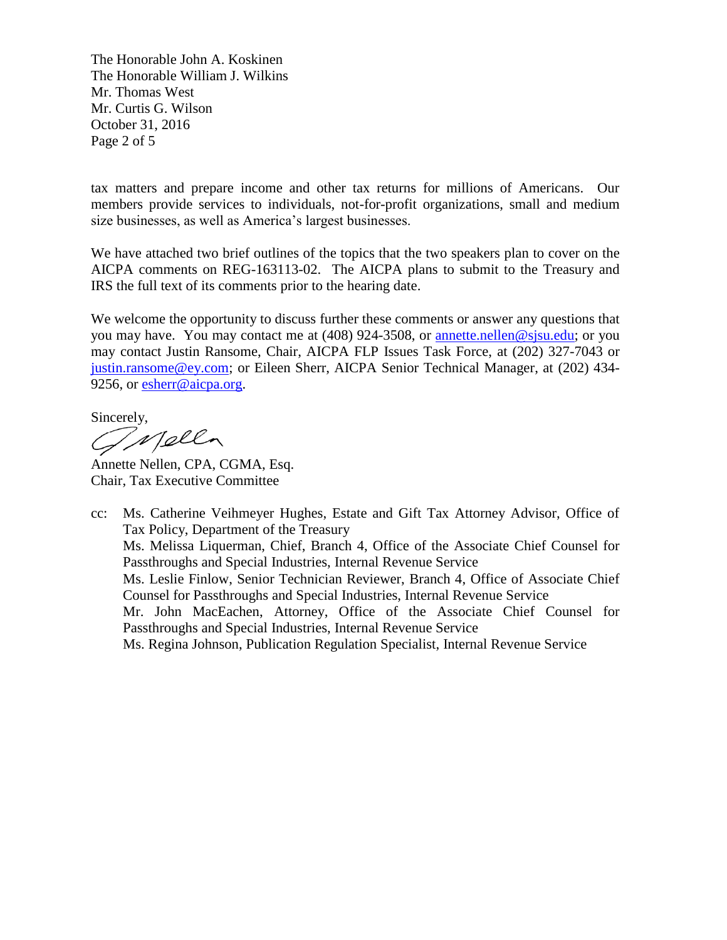The Honorable John A. Koskinen The Honorable William J. Wilkins Mr. Thomas West Mr. Curtis G. Wilson October 31, 2016 Page 2 of 5

tax matters and prepare income and other tax returns for millions of Americans. Our members provide services to individuals, not-for-profit organizations, small and medium size businesses, as well as America's largest businesses.

We have attached two brief outlines of the topics that the two speakers plan to cover on the AICPA comments on REG-163113-02. The AICPA plans to submit to the Treasury and IRS the full text of its comments prior to the hearing date.

We welcome the opportunity to discuss further these comments or answer any questions that you may have. You may contact me at (408) 924-3508, or [annette.nellen@sjsu.edu;](mailto:annette.nellen@sjsu.edu) or you may contact Justin Ransome, Chair, AICPA FLP Issues Task Force, at (202) 327-7043 or justin.ransome@ey.com; or Eileen Sherr, AICPA Senior Technical Manager, at (202) 434 9256, or [esherr@aicpa.org.](mailto:esherr@aicpa.org)

Sincerely,<br>*GMpll* 

Annette Nellen, CPA, CGMA, Esq. Chair, Tax Executive Committee

cc: Ms. Catherine Veihmeyer Hughes, Estate and Gift Tax Attorney Advisor, Office of Tax Policy, Department of the Treasury Ms. Melissa Liquerman, Chief, Branch 4, Office of the Associate Chief Counsel for Passthroughs and Special Industries, Internal Revenue Service Ms. Leslie Finlow, Senior Technician Reviewer, Branch 4, Office of Associate Chief Counsel for Passthroughs and Special Industries, Internal Revenue Service Mr. John MacEachen, Attorney, Office of the Associate Chief Counsel for Passthroughs and Special Industries, Internal Revenue Service Ms. Regina Johnson, Publication Regulation Specialist, Internal Revenue Service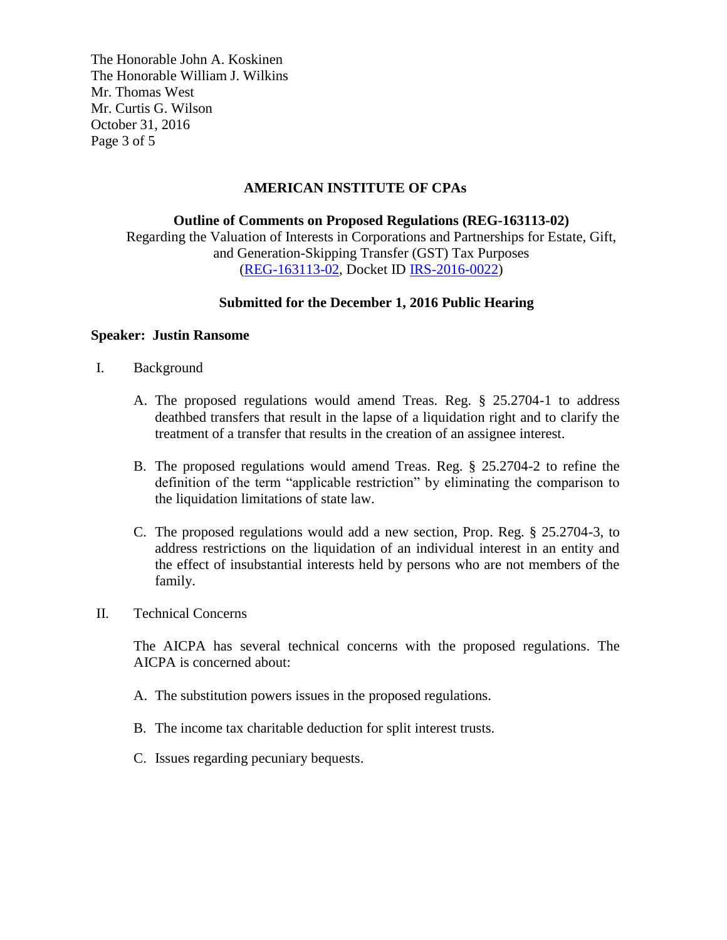The Honorable John A. Koskinen The Honorable William J. Wilkins Mr. Thomas West Mr. Curtis G. Wilson October 31, 2016 Page 3 of 5

### **AMERICAN INSTITUTE OF CPAs**

**Outline of Comments on Proposed Regulations (REG-163113-02)** Regarding the Valuation of Interests in Corporations and Partnerships for Estate, Gift, and Generation-Skipping Transfer (GST) Tax Purposes [\(REG-163113-02,](https://www.federalregister.gov/documents/2016/08/04/2016-18370/estate-gift-and-generation-skipping-transfer-taxes-restrictions-on-liquidation-of-an-interest) Docket ID [IRS-2016-0022\)](https://www.regulations.gov/docket?D=IRS-2016-0022)

# **Submitted for the December 1, 2016 Public Hearing**

### **Speaker: Justin Ransome**

- I. Background
	- A. The proposed regulations would amend Treas. Reg. § 25.2704-1 to address deathbed transfers that result in the lapse of a liquidation right and to clarify the treatment of a transfer that results in the creation of an assignee interest.
	- B. The proposed regulations would amend Treas. Reg. § 25.2704-2 to refine the definition of the term "applicable restriction" by eliminating the comparison to the liquidation limitations of state law.
	- C. The proposed regulations would add a new section, Prop. Reg. § 25.2704-3, to address restrictions on the liquidation of an individual interest in an entity and the effect of insubstantial interests held by persons who are not members of the family.
- II. Technical Concerns

The AICPA has several technical concerns with the proposed regulations. The AICPA is concerned about:

- A. The substitution powers issues in the proposed regulations.
- B. The income tax charitable deduction for split interest trusts.
- C. Issues regarding pecuniary bequests.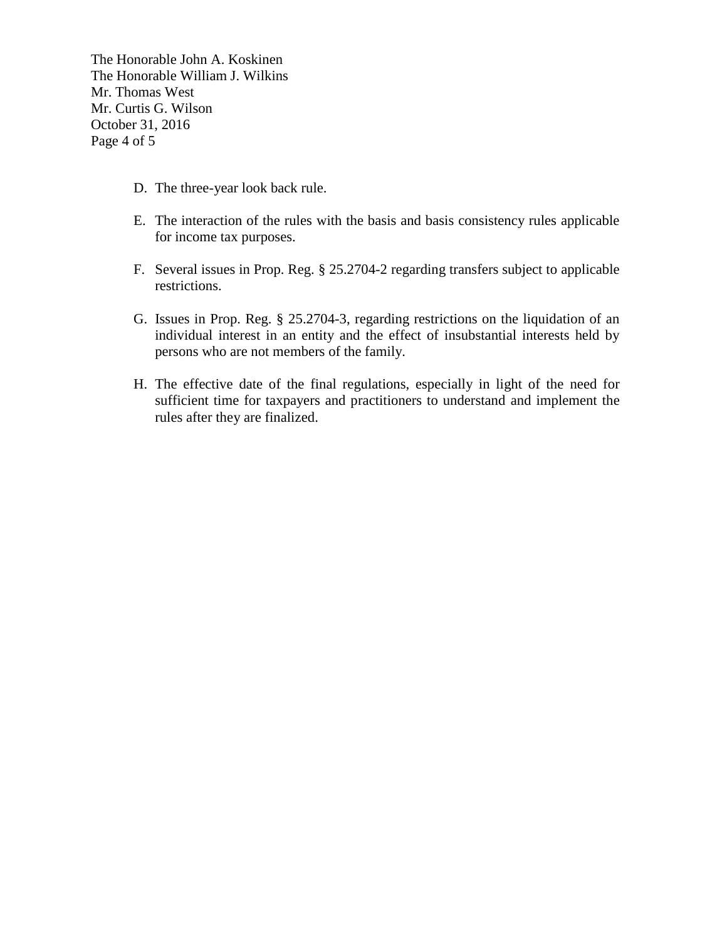The Honorable John A. Koskinen The Honorable William J. Wilkins Mr. Thomas West Mr. Curtis G. Wilson October 31, 2016 Page 4 of 5

- D. The three-year look back rule.
- E. The interaction of the rules with the basis and basis consistency rules applicable for income tax purposes.
- F. Several issues in Prop. Reg. § 25.2704-2 regarding transfers subject to applicable restrictions.
- G. Issues in Prop. Reg. § 25.2704-3, regarding restrictions on the liquidation of an individual interest in an entity and the effect of insubstantial interests held by persons who are not members of the family.
- H. The effective date of the final regulations, especially in light of the need for sufficient time for taxpayers and practitioners to understand and implement the rules after they are finalized.